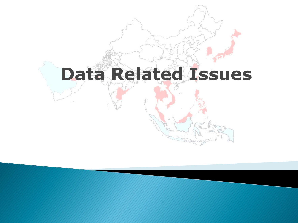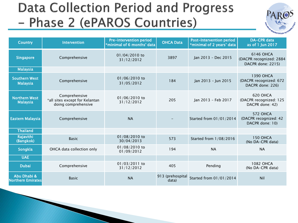## **Data Collection Period and Progress** - Phase 2 (ePAROS Countries)



| <b>Country</b>                          | <b>Intervention</b>                                                    | <b>Pre-intervention period</b><br>*minimal of 6 months' data | <b>OHCA Data</b>           |                         | <b>DA-CPR</b> data<br>*minimal of 2 years' data<br>as of 1 Jun 2017 |  |
|-----------------------------------------|------------------------------------------------------------------------|--------------------------------------------------------------|----------------------------|-------------------------|---------------------------------------------------------------------|--|
| <b>Singapore</b>                        | Comprehensive                                                          | 01/04/2010 to<br>31/12/2012                                  | 3897                       | Jan 2013 - Dec 2015     | 6146 OHCA<br>(DACPR recognized: 2884<br>DACPR done: 2215)           |  |
| <b>Malaysia</b>                         |                                                                        |                                                              |                            |                         |                                                                     |  |
| <b>Southern West</b><br><b>Malaysia</b> | Comprehensive                                                          | 01/06/2010 to<br>31/05/2012                                  | 184<br>Jan 2013 - Jun 2015 |                         | <b>1390 OHCA</b><br>(DACPR recognized: 672<br>DACPR done: 226)      |  |
| <b>Northern West</b><br><b>Malaysia</b> | Comprehensive<br>*all sites except for Kelantan<br>doing comprehensive | 01/06/2010 to<br>31/12/2012                                  | 205                        | Jan 2013 - Feb 2017     | 620 OHCA<br>(DACPR recognized: 125<br>DACPR done: 42)               |  |
| <b>Eastern Malaysia</b>                 | Comprehensive                                                          | <b>NA</b>                                                    |                            | Started from 01/01/2014 | <b>572 OHCA</b><br>(DACPR recognized: 42<br>DACPR done: 10)         |  |
| <b>Thailand</b>                         |                                                                        |                                                              |                            |                         |                                                                     |  |
| Rajavithi<br>(Bangkok)                  | <b>Basic</b>                                                           | 01/08/2010 to<br>30/04/2013                                  | 573                        | Started from 1/08/2016  | <b>150 OHCA</b><br>(No DA-CPR data)                                 |  |
| Songkla                                 | OHCA data collection only                                              | 01/08/2010 to<br>01/09/2012                                  | 194                        | <b>NA</b>               | <b>NA</b>                                                           |  |
| <b>UAE</b>                              |                                                                        |                                                              |                            |                         |                                                                     |  |
| <b>Dubai</b>                            | Comprehensive                                                          | 01/03/2011 to<br>31/12/2012                                  | 405                        | Pending                 | 1082 OHCA<br>(No DA-CPR data)                                       |  |
| Abu Dhabi &<br><b>Northern Emirates</b> | <b>Basic</b>                                                           | <b>NA</b>                                                    | 913 (prehospital<br>data)  | Started from 01/01/2014 | Nil                                                                 |  |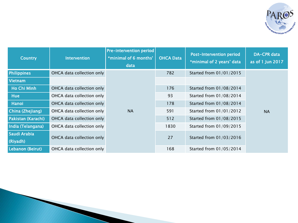

| <b>Country</b>           | <b>Intervention</b>       | <b>Pre-intervention period</b><br>*minimal of 6 months'<br>data | <b>OHCA Data</b> | <b>Post-Intervention period</b><br>*minimal of 2 years' data | <b>DA-CPR</b> data<br>as of 1 Jun 2017 |
|--------------------------|---------------------------|-----------------------------------------------------------------|------------------|--------------------------------------------------------------|----------------------------------------|
| <b>Philippines</b>       | OHCA data collection only |                                                                 | 782              | Started from 01/01/2015                                      |                                        |
| <b>Vietnam</b>           |                           |                                                                 |                  |                                                              |                                        |
| Ho Chi Minh              | OHCA data collection only |                                                                 | 176              | Started from 01/08/2014                                      |                                        |
| <b>Hue</b>               | OHCA data collection only |                                                                 | 93               | Started from 01/08/2014                                      |                                        |
| Hanoi                    | OHCA data collection only |                                                                 | 178              | Started from 01/08/2014                                      |                                        |
| China (Zhejiang)         | OHCA data collection only | <b>NA</b>                                                       | 591              | Started from 01/01/2012                                      | <b>NA</b>                              |
| Pakistan (Karachi)       | OHCA data collection only |                                                                 | 512              | Started from 01/08/2015                                      |                                        |
| India (Telangana)        | OHCA data collection only |                                                                 | 1830             | Started from 01/09/2015                                      |                                        |
| Saudi Arabia<br>(Riyadh) | OHCA data collection only |                                                                 | 27               | Started from 01/03/2016                                      |                                        |
| Lebanon (Beirut)         | OHCA data collection only |                                                                 | 168              | Started from 01/05/2014                                      |                                        |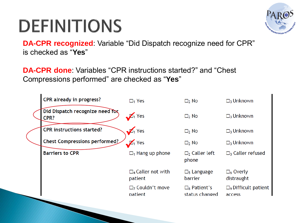## **DEFINITIONS**



**DA-CPR recognized**: Variable "Did Dispatch recognize need for CPR" is checked as "**Yes**"

**DA-CPR done**: Variables "CPR instructions started?" and "Chest Compressions performed" are checked as "**Yes**"

| <b>CPR already in progress?</b>         | $\Box_1$ Yes                                        | $\Box_2$ No                                | $\Box_3$ Unknown                                |
|-----------------------------------------|-----------------------------------------------------|--------------------------------------------|-------------------------------------------------|
| Did Dispatch recognize need for<br>CPR? | $\sqrt{1}$ Yes                                      | $\Box_2$ No                                | $\Box_3$ Unknown                                |
| <b>CPR instructions started?</b>        | $\sqrt{1}$ Yes                                      | $\Box_2$ No                                | $\Box$ <sub>3</sub> Unknown                     |
| Chest Compressions performed?           | $\sqrt{4}$ Yes                                      | $\Box_2$ No                                | $\Box_3$ Unknown                                |
| <b>Barriers to CPR</b>                  | $\Box$ <sub>1</sub> Hang up phone                   | $\Box_2$ Caller left<br>phone              | $\Box$ <sub>3</sub> Caller refused              |
|                                         | $\square$ 4 Caller not with<br>patient              | $\square$ <sub>5</sub> Language<br>barrier | $\square_6$ Overly<br>distraught                |
|                                         | $\Box$ <sub>7</sub> Couldn't move<br><b>patient</b> | $\square_8$ Patient's<br>status changed    | $\Box$ <sub>9</sub> Difficult patient<br>access |